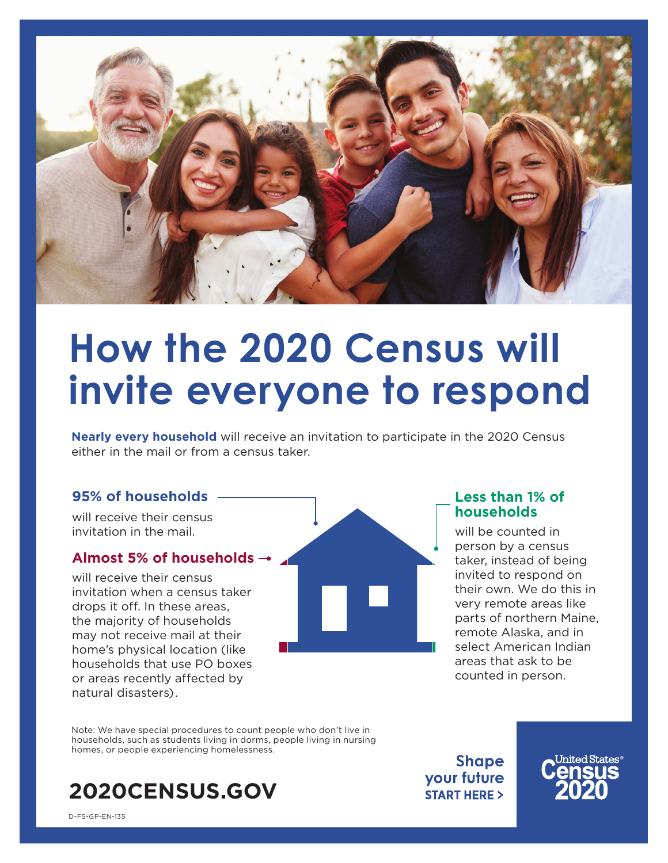

# **How the 2020 Census will invite everyone to respond**

**Nearly every household** will receive an invitation to participate in the 2020 Census either in the mail or from a census taker.

### **95% of households**

will receive their census invitation in the mail.

#### **Almost 5% of households**

will receive their census invitation when a census taker drops it off. In these areas, the majority of households may not receive mail at their home's physical location (like households that use PO boxes or areas recently affected by natural disasters).



### **Less than 1% of households**

will be counted in person by a census taker, instead of being invited to respond on their own. We do this in very remote areas like parts of northern Maine, remote Alaska, and in select American Indian areas that ask to be counted in person.

Note: We have special procedures to count people who don't live in households, such as students living in dorms, people living in nursing homes, or people experiencing homelessness.



**Shape** your future **START HERE >** 

D-FS-GP-EN-135